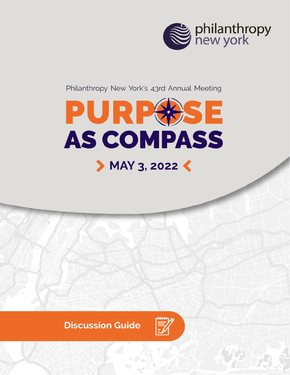

Philanthropy New York's 43rd Annual Meeting



### **Discussion Guide**

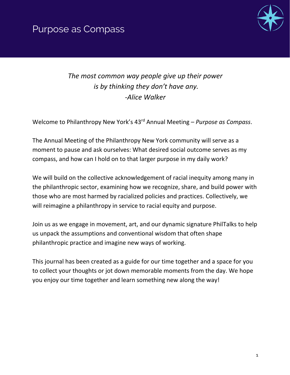



*The most common way people give up their power is by thinking they don't have any. -Alice Walker*

Welcome to Philanthropy New York's 43rd Annual Meeting – *Purpose as Compass*.

The Annual Meeting of the Philanthropy New York community will serve as a moment to pause and ask ourselves: What desired social outcome serves as my compass, and how can I hold on to that larger purpose in my daily work?

We will build on the collective acknowledgement of racial inequity among many in the philanthropic sector, examining how we recognize, share, and build power with those who are most harmed by racialized policies and practices. Collectively, we will reimagine a philanthropy in service to racial equity and purpose.

Join us as we engage in movement, art, and our dynamic signature PhilTalks to help us unpack the assumptions and conventional wisdom that often shape philanthropic practice and imagine new ways of working.

This journal has been created as a guide for our time together and a space for you to collect your thoughts or jot down memorable moments from the day. We hope you enjoy our time together and learn something new along the way!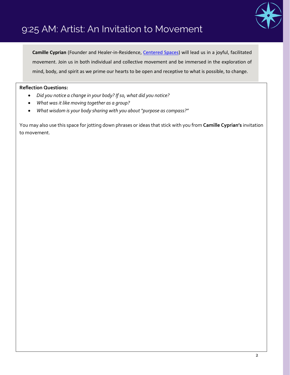

## 9:25 AM: Artist: An Invitation to Movement

**Camille Cyprian** (Founder and Healer-in-Residence, [Centered Spaces\)](https://www.centered-spaces.com/) will lead us in a joyful, facilitated movement. Join us in both individual and collective movement and be immersed in the exploration of mind, body, and spirit as we prime our hearts to be open and receptive to what is possible, to change.

#### **Reflection Questions:**

- *Did you notice a change in your body? If so, what did you notice?*
- *What was it like moving together as a group?*
- *What wisdom is your body sharing with you about "purpose as compass?"*

You may also use this space for jotting down phrases or ideas that stick with you from **Camille Cyprian's** invitation to movement.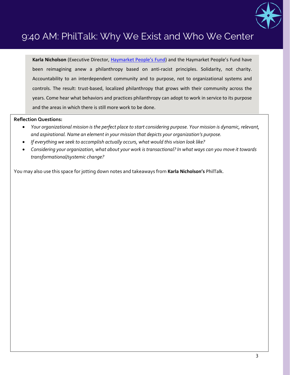

## 9:40 AM: PhilTalk: Why We Exist and Who We Center

**Karla Nicholson** (Executive Director, [Haymarket People's Fund\)](https://www.haymarket.org/) and the Haymarket People's Fund have been reimagining anew a philanthropy based on anti-racist principles. Solidarity, not charity. Accountability to an interdependent community and to purpose, not to organizational systems and controls. The result: trust-based, localized philanthropy that grows with their community across the years. Come hear what behaviors and practices philanthropy can adopt to work in service to its purpose and the areas in which there is still more work to be done.

#### **Reflection Questions:**

- *Your organizational mission is the perfect place to start considering purpose. Your mission is dynamic, relevant, and aspirational. Name an element in your mission that depicts your organization's purpose.*
- *If everything we seek to accomplish actually occurs, what would this vision look like?*
- *Considering your organization, what about your work is transactional? In what ways can you move it towards transformational/systemic change?*

You may also use this space for jotting down notes and takeaways from **Karla Nicholson's** PhilTalk.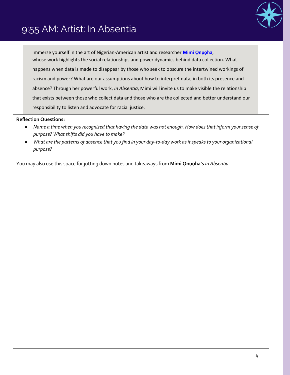## 9:55 AM: Artist: In Absentia



Immerse yourself in the art of Nigerian-American artist and researcher **[Mimi](https://mimionuoha.com/) Ọnụọha**, whose work highlights the social relationships and power dynamics behind data collection. What happens when data is made to disappear by those who seek to obscure the intertwined workings of racism and power? What are our assumptions about how to interpret data, in both its presence and absence? Through her powerful work, *In Absentia*, Mimi will invite us to make visible the relationship that exists between those who collect data and those who are the collected and better understand our responsibility to listen and advocate for racial justice.

#### **Reflection Questions:**

- *Name a time when you recognized that having the data was not enough. How does that inform your sense of purpose? What shifts did you have to make?*
- *What are the patterns of absence that you find in your day-to-day work as it speaks to your organizational purpose?*

You may also use this space for jotting down notes and takeaways from **Mimi Ọnụọha's** *In Absentia*.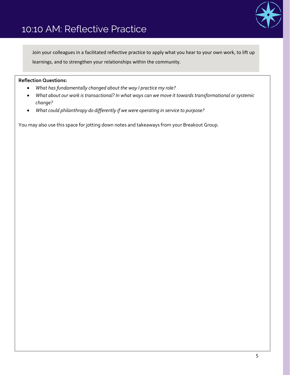

### 10:10 AM: Reflective Practice

Join your colleagues in a facilitated reflective practice to apply what you hear to your own work, to lift up learnings, and to strengthen your relationships within the community.

#### **Reflection Questions:**

- *What has fundamentally changed about the way I practice my role?*
- *What about our work is transactional? In what ways can we move it towards transformational or systemic change?*
- *What could philanthropy do differently if we were operating in service to purpose?*

You may also use this space for jotting down notes and takeaways from your Breakout Group.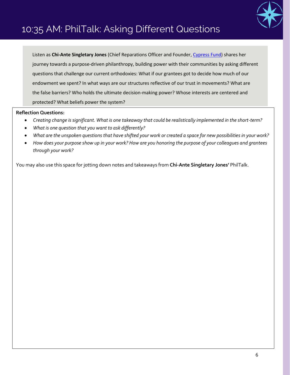

## 10:35 AM: PhilTalk: Asking Different Questions

Listen as **Chi-Ante Singletary Jones** (Chief Reparations Officer and Founder[, Cypress Fund\)](http://www.cypressfund.org/) shares her journey towards a purpose-driven philanthropy, building power with their communities by asking different questions that challenge our current orthodoxies: What if our grantees got to decide how much of our endowment we spent? In what ways are our structures reflective of our trust in movements? What are the false barriers? Who holds the ultimate decision-making power? Whose interests are centered and protected? What beliefs power the system?

#### **Reflection Questions:**

- *Creating change is significant. What is one takeaway that could be realistically implemented in the short-term?*
- *What is one question that you want to ask differently?*
- *What are the unspoken questions that have shifted your work or created a space for new possibilities in your work?*
- *How does your purpose show up in your work? How are you honoring the purpose of your colleagues and grantees through your work?*

You may also use this space for jotting down notes and takeaways from **Chi-Ante Singletary Jones'** PhilTalk.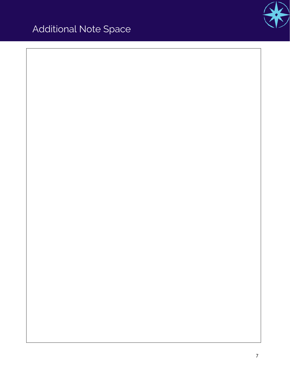# Additional Note Space